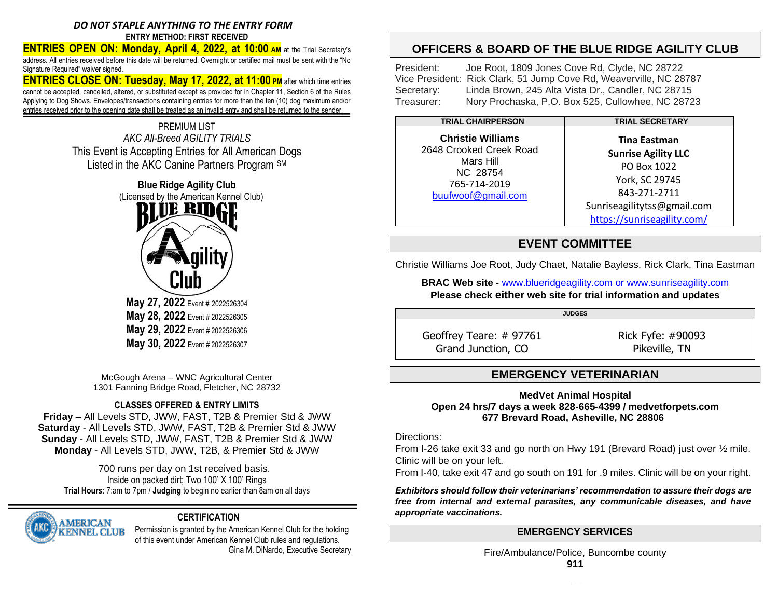### *DO NOT STAPLE ANYTHING TO THE ENTRY FORM* **ENTRY METHOD: FIRST RECEIVED**

**ENTRIES OPEN ON: Monday, April 4, 2022, at 10:00 AM** at the Trial Secretary's address. All entries received before this date will be returned. Overnight or certified mail must be sent with the "No Signature Required" waiver signed.

**ENTRIES CLOSE ON: Tuesday, May 17, 2022, at 11:00 PM** after which time entries cannot be accepted, cancelled, altered, or substituted except as provided for in Chapter 11, Section 6 of the Rules Applying to Dog Shows. Envelopes/transactions containing entries for more than the ten (10) dog maximum and/or entries received prior to the opening date shall be treated as an invalid entry and shall be returned to the sender.

> PREMIUM LIST *AKC All-Breed AGILITY TRIALS* This Event is Accepting Entries for All American Dogs Listed in the AKC Canine Partners Program SM

> > **Blue Ridge Agility Club** (Licensed by the American Kennel Club) IE RIN K **May 27, 2022** Event # <sup>2022526304</sup> **May 28, 2022** Event # 2022526305

**May 29, 2022** Event # 2022526306 **May 30, 2022** Event # 2022526307

McGough Arena – WNC Agricultural Center 1301 Fanning Bridge Road, Fletcher, NC 28732

# **CLASSES OFFERED & ENTRY LIMITS**

**Friday –** All Levels STD, JWW, FAST, T2B & Premier Std & JWW **Saturday** - All Levels STD, JWW, FAST, T2B & Premier Std & JWW **Sunday** - All Levels STD, JWW, FAST, T2B & Premier Std & JWW **Monday** - All Levels STD, JWW, T2B, & Premier Std & JWW

700 runs per day on 1st received basis. Inside on packed dirt; Two 100' X 100' Rings **Trial Hours**: 7:am to 7pm / **Judging** to begin no earlier than 8am on all days .



### **CERTIFICATION**

Permission is granted by the American Kennel Club for the holding of this event under American Kennel Club rules and regulations. Gina M. DiNardo, Executive Secretary

# **OFFICERS & BOARD OF THE BLUE RIDGE AGILITY CLUB**

President: Joe Root, 1809 Jones Cove Rd, Clyde, NC 28722 Vice President: Rick Clark, 51 Jump Cove Rd, Weaverville, NC 28787 Secretary: Linda Brown, 245 Alta Vista Dr., Candler, NC 28715 Treasurer: Nory Prochaska, P.O. Box 525, Cullowhee, NC 28723

| <b>TRIAL CHAIRPERSON</b>                                                                                           | <b>TRIAL SECRETARY</b>                                                                                                                                    |
|--------------------------------------------------------------------------------------------------------------------|-----------------------------------------------------------------------------------------------------------------------------------------------------------|
| <b>Christie Williams</b><br>2648 Crooked Creek Road<br>Mars Hill<br>NC 28754<br>765-714-2019<br>buufwoof@gmail.com | Tina Eastman<br><b>Sunrise Agility LLC</b><br>PO Box 1022<br>York, SC 29745<br>843-271-2711<br>Sunriseagilitytss@gmail.com<br>https://sunriseagility.com/ |

# **EVENT COMMITTEE**

Christie Williams Joe Root, Judy Chaet, Natalie Bayless, Rick Clark, Tina Eastman

**BRAC Web site -** [www.blueridgeagility.com](http://www.blueridgeagility.com/) or www.sunriseagility.com **Please check either web site for trial information and updates**

**JUDGES**

Geoffrey Teare: # 97761 Grand Junction, CO

Rick Fyfe: #90093 Pikeville, TN

# **EMERGENCY VETERINARIAN**

#### **MedVet Animal Hospital Open 24 hrs/7 days a week 828-665-4399 / medvetforpets.com 677 Brevard Road, Asheville, NC 28806**

Directions:

From I-26 take exit 33 and go north on Hwy 191 (Brevard Road) just over ½ mile. Clinic will be on your left.

From I-40, take exit 47 and go south on 191 for .9 miles. Clinic will be on your right.

*Exhibitors should follow their veterinarians' recommendation to assure their dogs are free from internal and external parasites, any communicable diseases, and have appropriate vaccinations.*

### **EMERGENCY SERVICES**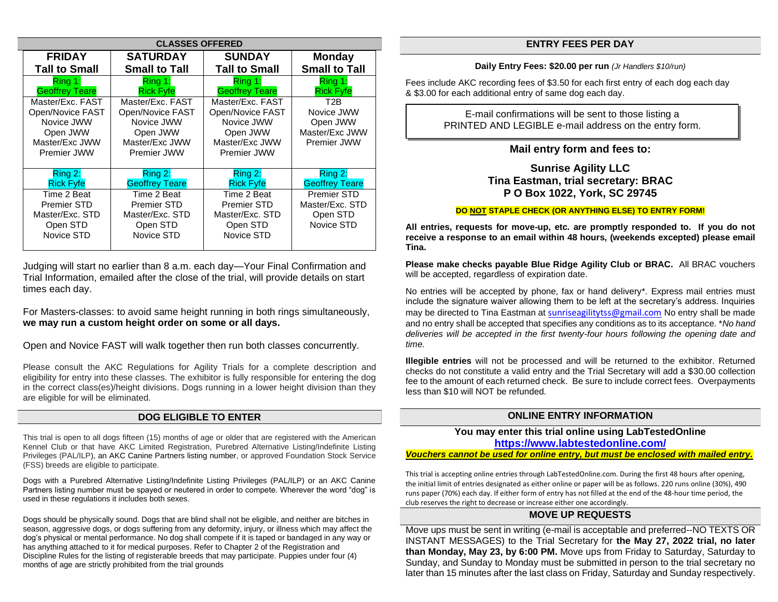|                                                                                                 | <b>CLASSES OFFERED</b>                                                                          |                                                                                                 |                                                                 |  |  |
|-------------------------------------------------------------------------------------------------|-------------------------------------------------------------------------------------------------|-------------------------------------------------------------------------------------------------|-----------------------------------------------------------------|--|--|
| <b>FRIDAY</b>                                                                                   | <b>SATURDAY</b>                                                                                 | <b>SUNDAY</b>                                                                                   | <b>Monday</b>                                                   |  |  |
| <b>Tall to Small</b>                                                                            | <b>Small to Tall</b>                                                                            | <b>Tall to Small</b>                                                                            | <b>Small to Tall</b>                                            |  |  |
| Ring 1:<br><b>Geoffrey Teare</b>                                                                | Ring 1:<br><b>Rick Fyfe</b>                                                                     | Ring 1:<br><b>Geoffrey Teare</b>                                                                | Ring 1:<br><b>Rick Fyfe</b>                                     |  |  |
| Master/Exc. FAST<br>Open/Novice FAST<br>Novice JWW<br>Open JWW<br>Master/Exc JWW<br>Premier JWW | Master/Exc. FAST<br>Open/Novice FAST<br>Novice JWW<br>Open JWW<br>Master/Exc JWW<br>Premier JWW | Master/Exc. FAST<br>Open/Novice FAST<br>Novice JWW<br>Open JWW<br>Master/Exc JWW<br>Premier JWW | T2B<br>Novice JWW<br>Open JWW<br>Master/Exc JWW<br>Premier JWW  |  |  |
| Ring 2:<br><b>Rick Fyfe</b>                                                                     | Ring 2:<br><b>Geoffrey Teare</b>                                                                | Ring 2:<br><b>Rick Fyfe</b>                                                                     | Ring 2:<br><b>Geoffrey Teare</b>                                |  |  |
| Time 2 Beat<br><b>Premier STD</b><br>Master/Exc. STD<br>Open STD<br>Novice STD                  | Time 2 Beat<br><b>Premier STD</b><br>Master/Exc. STD<br>Open STD<br>Novice STD                  | Time 2 Beat<br>Premier STD<br>Master/Exc. STD<br>Open STD<br>Novice STD                         | <b>Premier STD</b><br>Master/Exc. STD<br>Open STD<br>Novice STD |  |  |

Judging will start no earlier than 8 a.m. each day—Your Final Confirmation and Trial Information, emailed after the close of the trial, will provide details on start times each day.

For Masters-classes: to avoid same height running in both rings simultaneously, **we may run a custom height order on some or all days.**

Open and Novice FAST will walk together then run both classes concurrently.

Please consult the AKC Regulations for Agility Trials for a complete description and eligibility for entry into these classes. The exhibitor is fully responsible for entering the dog in the correct class(es)/height divisions. Dogs running in a lower height division than they are eligible for will be eliminated.

### **DOG ELIGIBLE TO ENTER**

This trial is open to all dogs fifteen (15) months of age or older that are registered with the American Kennel Club or that have AKC Limited Registration, Purebred Alternative Listing/Indefinite Listing Privileges (PAL/ILP), an AKC Canine Partners listing number, or approved Foundation Stock Service (FSS) breeds are eligible to participate.

Dogs with a Purebred Alternative Listing/Indefinite Listing Privileges (PAL/ILP) or an AKC Canine Partners listing number must be spayed or neutered in order to compete. Wherever the word "dog" is used in these regulations it includes both sexes.

Dogs should be physically sound. Dogs that are blind shall not be eligible, and neither are bitches in season, aggressive dogs, or dogs suffering from any deformity, injury, or illness which may affect the dog's physical or mental performance. No dog shall compete if it is taped or bandaged in any way or has anything attached to it for medical purposes. Refer to Chapter 2 of the Registration and Discipline Rules for the listing of registerable breeds that may participate. Puppies under four (4) months of age are strictly prohibited from the trial grounds

#### **ENTRY FEES PER DAY**

#### **Daily Entry Fees: \$20.00 per run** *(Jr Handlers \$10/run)*

Fees include AKC recording fees of \$3.50 for each first entry of each dog each day & \$3.00 for each additional entry of same dog each day.

> E-mail confirmations will be sent to those listing a PRINTED AND LEGIBLE e-mail address on the entry form.

### **Mail entry form and fees to:**

### **Sunrise Agility LLC Tina Eastman, trial secretary: BRAC P O Box 1022, York, SC 29745**

#### **DO NOT STAPLE CHECK (OR ANYTHING ELSE) TO ENTRY FORM!**

**All entries, requests for move-up, etc. are promptly responded to. If you do not receive a response to an email within 48 hours, (weekends excepted) please email Tina.** 

**Please make checks payable Blue Ridge Agility Club or BRAC.** All BRAC vouchers will be accepted, regardless of expiration date.

No entries will be accepted by phone, fax or hand delivery\*. Express mail entries must include the signature waiver allowing them to be left at the secretary's address. Inquiries may be directed to Tina Eastman at sunriseagilitytss@gmail.com No entry shall be made and no entry shall be accepted that specifies any conditions as to its acceptance. \**No hand deliveries will be accepted in the first twenty-four hours following the opening date and time.*

**Illegible entries** will not be processed and will be returned to the exhibitor. Returned checks do not constitute a valid entry and the Trial Secretary will add a \$30.00 collection fee to the amount of each returned check. Be sure to include correct fees. Overpayments less than \$10 will NOT be refunded.

# **ONLINE ENTRY INFORMATION**

**You may enter this trial online using LabTestedOnline <https://www.labtestedonline.com/>**

*Vouchers cannot be used for online entry, but must be enclosed with mailed entry.*

This trial is accepting online entries through LabTestedOnline.com. During the first 48 hours after opening, the initial limit of entries designated as either online or paper will be as follows. 220 runs online (30%), 490 runs paper (70%) each day. If either form of entry has not filled at the end of the 48-hour time period, the club reserves the right to decrease or increase either one accordingly.

#### **MOVE UP REQUESTS**

Move ups must be sent in writing (e-mail is acceptable and preferred--NO TEXTS OR INSTANT MESSAGES) to the Trial Secretary for **the May 27, 2022 trial, no later than Monday, May 23, by 6:00 PM.** Move ups from Friday to Saturday, Saturday to Sunday, and Sunday to Monday must be submitted in person to the trial secretary no later than 15 minutes after the last class on Friday, Saturday and Sunday respectively.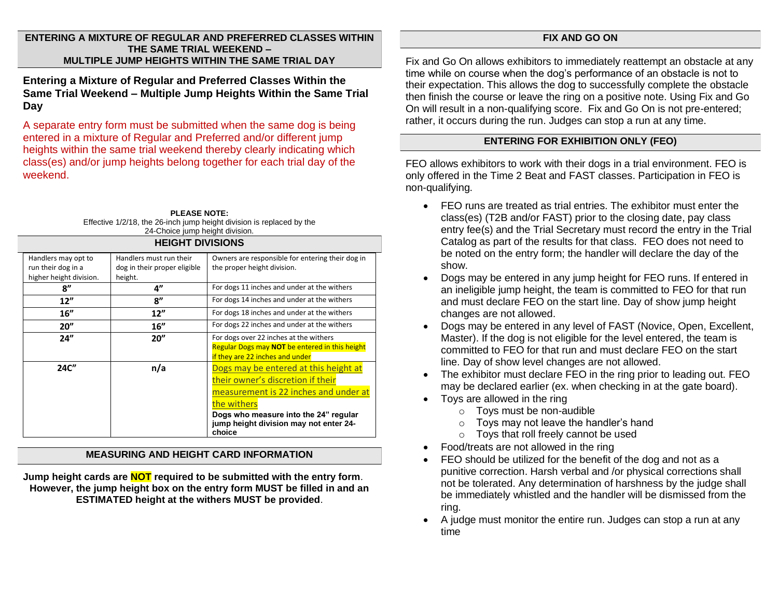#### **ENTERING A MIXTURE OF REGULAR AND PREFERRED CLASSES WITHIN THE SAME TRIAL WEEKEND – MULTIPLE JUMP HEIGHTS WITHIN THE SAME TRIAL DAY**

## **Entering a Mixture of Regular and Preferred Classes Within the Same Trial Weekend – Multiple Jump Heights Within the Same Trial Day**

A separate entry form must be submitted when the same dog is being entered in a mixture of Regular and Preferred and/or different jump heights within the same trial weekend thereby clearly indicating which class(es) and/or jump heights belong together for each trial day of the weekend.

| <b>HEIGHT DIVISIONS</b>                                              |                                                                    |                                                                                                                                                                                                                                 |  |  |  |  |  |
|----------------------------------------------------------------------|--------------------------------------------------------------------|---------------------------------------------------------------------------------------------------------------------------------------------------------------------------------------------------------------------------------|--|--|--|--|--|
| Handlers may opt to<br>run their dog in a<br>higher height division. | Handlers must run their<br>dog in their proper eligible<br>height. | Owners are responsible for entering their dog in<br>the proper height division.                                                                                                                                                 |  |  |  |  |  |
| 8''                                                                  | 4"                                                                 | For dogs 11 inches and under at the withers                                                                                                                                                                                     |  |  |  |  |  |
| 12"                                                                  | 8''                                                                | For dogs 14 inches and under at the withers                                                                                                                                                                                     |  |  |  |  |  |
| 16"                                                                  | 12"                                                                | For dogs 18 inches and under at the withers                                                                                                                                                                                     |  |  |  |  |  |
| 16"<br>20"                                                           |                                                                    | For dogs 22 inches and under at the withers                                                                                                                                                                                     |  |  |  |  |  |
| 24"                                                                  | 20''                                                               | For dogs over 22 inches at the withers<br>Regular Dogs may NOT be entered in this height<br>if they are 22 inches and under                                                                                                     |  |  |  |  |  |
| 24C"                                                                 | n/a                                                                | Dogs may be entered at this height at<br>their owner's discretion if their<br>measurement is 22 inches and under at<br>the withers<br>Dogs who measure into the 24" regular<br>jump height division may not enter 24-<br>choice |  |  |  |  |  |

#### **PLEASE NOTE:** Effective 1/2/18, the 26-inch jump height division is replaced by the 24-Choice jump height division.

# **MEASURING AND HEIGHT CARD INFORMATION**

**Jump height cards are NOT required to be submitted with the entry form**. **However, the jump height box on the entry form MUST be filled in and an ESTIMATED height at the withers MUST be provided**.

### **FIX AND GO ON**

Fix and Go On allows exhibitors to immediately reattempt an obstacle at any time while on course when the dog's performance of an obstacle is not to their expectation. This allows the dog to successfully complete the obstacle then finish the course or leave the ring on a positive note. Using Fix and Go On will result in a non-qualifying score. Fix and Go On is not pre-entered; rather, it occurs during the run. Judges can stop a run at any time.

# **ENTERING FOR EXHIBITION ONLY (FEO)**

FEO allows exhibitors to work with their dogs in a trial environment. FEO is only offered in the Time 2 Beat and FAST classes. Participation in FEO is non-qualifying.

- FEO runs are treated as trial entries. The exhibitor must enter the class(es) (T2B and/or FAST) prior to the closing date, pay class entry fee(s) and the Trial Secretary must record the entry in the Trial Catalog as part of the results for that class. FEO does not need to be noted on the entry form; the handler will declare the day of the show.
- Dogs may be entered in any jump height for FEO runs. If entered in an ineligible jump height, the team is committed to FEO for that run and must declare FEO on the start line. Day of show jump height changes are not allowed.
- Dogs may be entered in any level of FAST (Novice, Open, Excellent, Master). If the dog is not eligible for the level entered, the team is committed to FEO for that run and must declare FEO on the start line. Day of show level changes are not allowed.
- The exhibitor must declare FEO in the ring prior to leading out. FEO may be declared earlier (ex. when checking in at the gate board).
- Toys are allowed in the ring
	- o Toys must be non-audible
	- o Toys may not leave the handler's hand
	- o Toys that roll freely cannot be used
- Food/treats are not allowed in the ring
- FEO should be utilized for the benefit of the dog and not as a punitive correction. Harsh verbal and /or physical corrections shall not be tolerated. Any determination of harshness by the judge shall be immediately whistled and the handler will be dismissed from the ring.
- A judge must monitor the entire run. Judges can stop a run at any time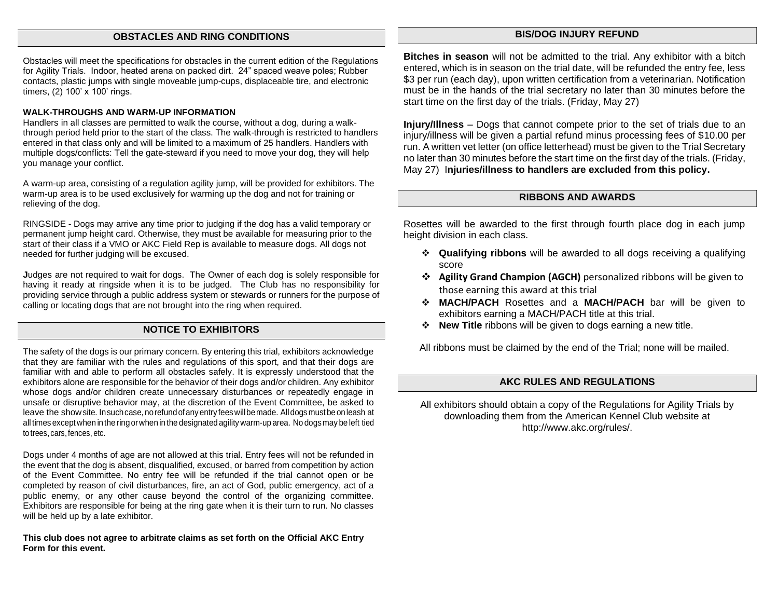### **OBSTACLES AND RING CONDITIONS**

Obstacles will meet the specifications for obstacles in the current edition of the Regulations for Agility Trials. Indoor, heated arena on packed dirt. 24" spaced weave poles; Rubber contacts, plastic jumps with single moveable jump-cups, displaceable tire, and electronic timers, (2) 100' x 100' rings.

#### **WALK-THROUGHS AND WARM-UP INFORMATION**

Handlers in all classes are permitted to walk the course, without a dog, during a walkthrough period held prior to the start of the class. The walk-through is restricted to handlers entered in that class only and will be limited to a maximum of 25 handlers. Handlers with multiple dogs/conflicts: Tell the gate-steward if you need to move your dog, they will help you manage your conflict.

A warm-up area, consisting of a regulation agility jump, will be provided for exhibitors. The warm-up area is to be used exclusively for warming up the dog and not for training or relieving of the dog.

RINGSIDE - Dogs may arrive any time prior to judging if the dog has a valid temporary or permanent jump height card. Otherwise, they must be available for measuring prior to the start of their class if a VMO or AKC Field Rep is available to measure dogs. All dogs not needed for further judging will be excused.

**J**udges are not required to wait for dogs. The Owner of each dog is solely responsible for having it ready at ringside when it is to be judged. The Club has no responsibility for providing service through a public address system or stewards or runners for the purpose of calling or locating dogs that are not brought into the ring when required.

## **NOTICE TO EXHIBITORS**

The safety of the dogs is our primary concern. By entering this trial, exhibitors acknowledge that they are familiar with the rules and regulations of this sport, and that their dogs are familiar with and able to perform all obstacles safely. It is expressly understood that the exhibitors alone are responsible for the behavior of their dogs and/or children. Any exhibitor whose dogs and/or children create unnecessary disturbances or repeatedly engage in unsafe or disruptive behavior may, at the discretion of the Event Committee, be asked to leave the show site. In such case, no refund of any entry fees will be made. All dogs must be on leash at all times exceptwhen inthe ringorwhen inthe designated agilitywarm-up area. No dogs may be left tied to trees, cars, fences, etc.

Dogs under 4 months of age are not allowed at this trial. Entry fees will not be refunded in the event that the dog is absent, disqualified, excused, or barred from competition by action of the Event Committee. No entry fee will be refunded if the trial cannot open or be completed by reason of civil disturbances, fire, an act of God, public emergency, act of a public enemy, or any other cause beyond the control of the organizing committee. Exhibitors are responsible for being at the ring gate when it is their turn to run. No classes will be held up by a late exhibitor.

**This club does not agree to arbitrate claims as set forth on the Official AKC Entry Form for this event.**

#### **BIS/DOG INJURY REFUND**

**Bitches in season** will not be admitted to the trial. Any exhibitor with a bitch entered, which is in season on the trial date, will be refunded the entry fee, less \$3 per run (each day), upon written certification from a veterinarian. Notification must be in the hands of the trial secretary no later than 30 minutes before the start time on the first day of the trials. (Friday, May 27)

**Injury/Illness** – Dogs that cannot compete prior to the set of trials due to an injury/illness will be given a partial refund minus processing fees of \$10.00 per run. A written vet letter (on office letterhead) must be given to the Trial Secretary no later than 30 minutes before the start time on the first day of the trials. (Friday, May 27) I**njuries/illness to handlers are excluded from this policy.**

### **RIBBONS AND AWARDS**

Rosettes will be awarded to the first through fourth place dog in each jump height division in each class.

- ❖ **Qualifying ribbons** will be awarded to all dogs receiving a qualifying score
- ❖ **Agility Grand Champion (AGCH)** personalized ribbons will be given to those earning this award at this trial
- ❖ **MACH/PACH** Rosettes and a **MACH/PACH** bar will be given to exhibitors earning a MACH/PACH title at this trial.
- ❖ **New Title** ribbons will be given to dogs earning a new title.

All ribbons must be claimed by the end of the Trial; none will be mailed.

### **AKC RULES AND REGULATIONS**

All exhibitors should obtain a copy of the Regulations for Agility Trials by downloading them from the American Kennel Club website at http://www.akc.org/rules/.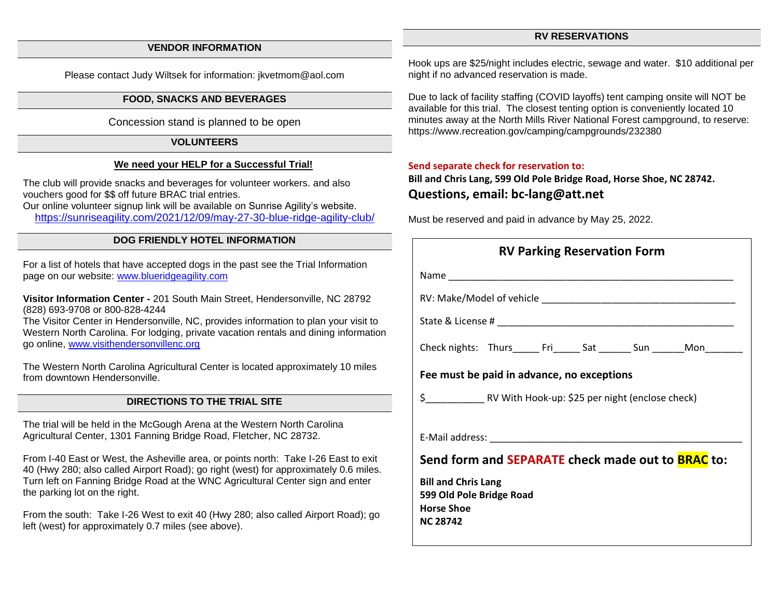### **VENDOR INFORMATION**

Please contact Judy Wiltsek for information: jkvetmom@aol.com

### **FOOD, SNACKS AND BEVERAGES**

Concession stand is planned to be open

### **VOLUNTEERS**

### **We need your HELP for a Successful Trial!**

The club will provide snacks and beverages for volunteer workers. and also vouchers good for \$\$ off future BRAC trial entries.

Our online volunteer signup link will be available on Sunrise Agility's website. <https://sunriseagility.com/2021/12/09/may-27-30-blue-ridge-agility-club/>

## **DOG FRIENDLY HOTEL INFORMATION**

For a list of hotels that have accepted dogs in the past see the Trial Information page on our website: [www.blueridgeagility.com](http://www.blueridgeagility.com/)

**Visitor Information Center -** 201 South Main Street, Hendersonville, NC 28792 (828) 693-9708 or 800-828-4244

The Visitor Center in Hendersonville, NC, provides information to plan your visit to Western North Carolina. For lodging, private vacation rentals and dining information go online, [www.visithendersonvillenc.org](http://www.visithendersonvillenc.org/)

The Western North Carolina Agricultural Center is located approximately 10 miles from downtown Hendersonville.

# **DIRECTIONS TO THE TRIAL SITE**

The trial will be held in the McGough Arena at the Western North Carolina Agricultural Center, 1301 Fanning Bridge Road, Fletcher, NC 28732.

From I-40 East or West, the Asheville area, or points north: Take I-26 East to exit 40 (Hwy 280; also called Airport Road); go right (west) for approximately 0.6 miles. Turn left on Fanning Bridge Road at the WNC Agricultural Center sign and enter the parking lot on the right.

From the south: Take I-26 West to exit 40 (Hwy 280; also called Airport Road); go left (west) for approximately 0.7 miles (see above).

Hook ups are \$25/night includes electric, sewage and water. \$10 additional per night if no advanced reservation is made.

Due to lack of facility staffing (COVID layoffs) tent camping onsite will NOT be available for this trial. The closest tenting option is conveniently located 10 minutes away at the North Mills River National Forest campground, to reserve: https://www.recreation.gov/camping/campgrounds/232380

### **Send separate check for reservation to:**

**Bill and Chris Lang, 599 Old Pole Bridge Road, Horse Shoe, NC 28742. Questions, email: bc-lang@att.net**

Must be reserved and paid in advance by May 25, 2022.

| <b>RV Parking Reservation Form</b>                                                      |  |  |  |  |  |  |
|-----------------------------------------------------------------------------------------|--|--|--|--|--|--|
|                                                                                         |  |  |  |  |  |  |
|                                                                                         |  |  |  |  |  |  |
|                                                                                         |  |  |  |  |  |  |
| Check nights: Thurs _______ Fri _______ Sat ________ Sun ________ Mon_________          |  |  |  |  |  |  |
| Fee must be paid in advance, no exceptions                                              |  |  |  |  |  |  |
| \$_____________________ RV With Hook-up: \$25 per night (enclose check)                 |  |  |  |  |  |  |
|                                                                                         |  |  |  |  |  |  |
| Send form and SEPARATE check made out to <mark>BRAC</mark> to:                          |  |  |  |  |  |  |
| <b>Bill and Chris Lang</b><br>599 Old Pole Bridge Road<br><b>Horse Shoe</b><br>NC 28742 |  |  |  |  |  |  |

### **RV RESERVATIONS**